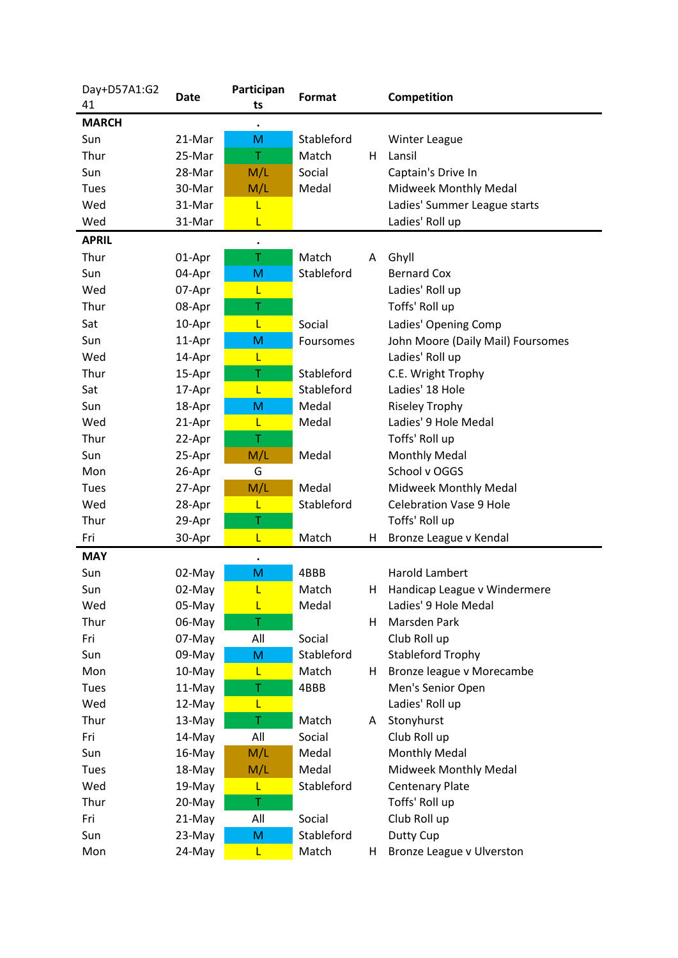| Day+D57A1:G2 | Date   | Participan | Format     |    | Competition                       |
|--------------|--------|------------|------------|----|-----------------------------------|
| 41           |        | ts         |            |    |                                   |
| <b>MARCH</b> |        |            |            |    |                                   |
| Sun          | 21-Mar | M          | Stableford |    | <b>Winter League</b>              |
| Thur         | 25-Mar | Τ          | Match      | н  | Lansil                            |
| Sun          | 28-Mar | M/L        | Social     |    | Captain's Drive In                |
| Tues         | 30-Mar | M/L        | Medal      |    | Midweek Monthly Medal             |
| Wed          | 31-Mar | L          |            |    | Ladies' Summer League starts      |
| Wed          | 31-Mar | L          |            |    | Ladies' Roll up                   |
| <b>APRIL</b> |        | $\bullet$  |            |    |                                   |
| Thur         | 01-Apr | Τ          | Match      | A  | Ghyll                             |
| Sun          | 04-Apr | M          | Stableford |    | <b>Bernard Cox</b>                |
| Wed          | 07-Apr | L          |            |    | Ladies' Roll up                   |
| Thur         | 08-Apr | Τ          |            |    | Toffs' Roll up                    |
| Sat          | 10-Apr | L          | Social     |    | Ladies' Opening Comp              |
| Sun          | 11-Apr | M          | Foursomes  |    | John Moore (Daily Mail) Foursomes |
| Wed          | 14-Apr | L          |            |    | Ladies' Roll up                   |
| Thur         | 15-Apr | Τ          | Stableford |    | C.E. Wright Trophy                |
| Sat          | 17-Apr | L          | Stableford |    | Ladies' 18 Hole                   |
| Sun          | 18-Apr | M          | Medal      |    | <b>Riseley Trophy</b>             |
| Wed          | 21-Apr | L          | Medal      |    | Ladies' 9 Hole Medal              |
| Thur         | 22-Apr | Τ          |            |    | Toffs' Roll up                    |
| Sun          | 25-Apr | M/L        | Medal      |    | <b>Monthly Medal</b>              |
| Mon          | 26-Apr | G          |            |    | School v OGGS                     |
| Tues         | 27-Apr | M/L        | Medal      |    | Midweek Monthly Medal             |
| Wed          | 28-Apr | L          | Stableford |    | <b>Celebration Vase 9 Hole</b>    |
| Thur         | 29-Apr | Τ          |            |    | Toffs' Roll up                    |
| Fri          | 30-Apr | L          | Match      | H  | Bronze League v Kendal            |
| <b>MAY</b>   |        | $\bullet$  |            |    |                                   |
| Sun          | 02-May | M          | 4BBB       |    | <b>Harold Lambert</b>             |
| Sun          | 02-May | L          | Match      | H  | Handicap League v Windermere      |
| Wed          | 05-May | L          | Medal      |    | Ladies' 9 Hole Medal              |
| Thur         | 06-May | Τ          |            | H  | Marsden Park                      |
| Fri          | 07-May | All        | Social     |    | Club Roll up                      |
| Sun          | 09-May | M          | Stableford |    | <b>Stableford Trophy</b>          |
| Mon          | 10-May | L          | Match      | H. | Bronze league v Morecambe         |
| Tues         | 11-May | Τ          | 4BBB       |    | Men's Senior Open                 |
| Wed          | 12-May | L          |            |    | Ladies' Roll up                   |
| Thur         | 13-May | Τ          | Match      | A  | Stonyhurst                        |
| Fri          | 14-May | All        | Social     |    | Club Roll up                      |
| Sun          | 16-May | M/L        | Medal      |    | <b>Monthly Medal</b>              |
| Tues         | 18-May | M/L        | Medal      |    | Midweek Monthly Medal             |
| Wed          | 19-May | L          | Stableford |    | <b>Centenary Plate</b>            |
| Thur         | 20-May | Τ          |            |    | Toffs' Roll up                    |
| Fri          | 21-May | All        | Social     |    | Club Roll up                      |
| Sun          | 23-May | M          | Stableford |    | Dutty Cup                         |
| Mon          | 24-May | L          | Match      | H  | Bronze League v Ulverston         |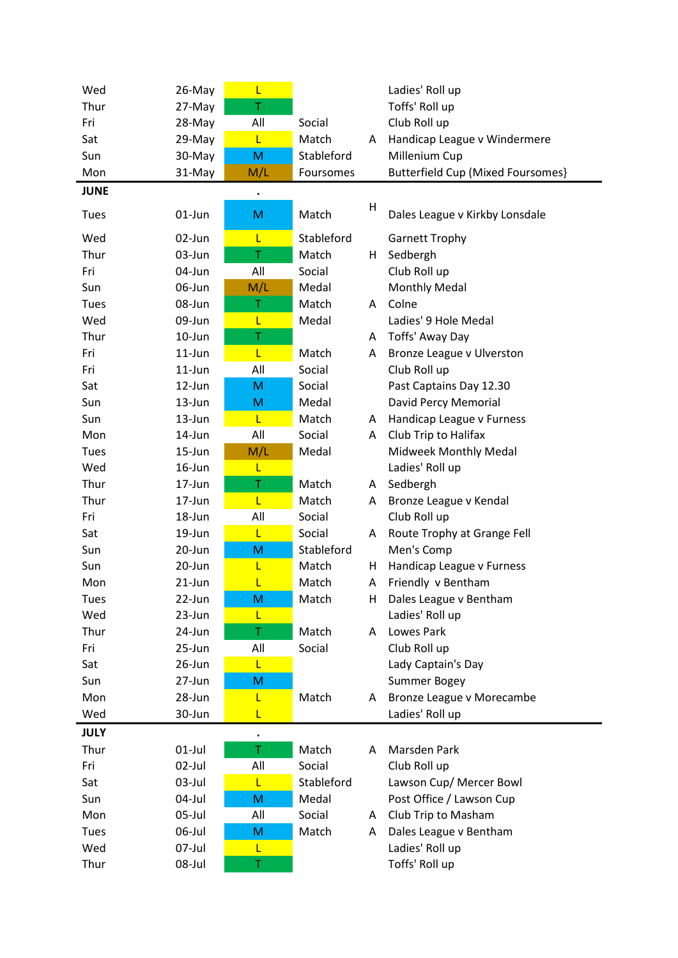| Wed         | 26-May     | L         |            |    | Ladies' Roll up                          |
|-------------|------------|-----------|------------|----|------------------------------------------|
| Thur        | 27-May     | T         |            |    | Toffs' Roll up                           |
| Fri         | 28-May     | All       | Social     |    | Club Roll up                             |
| Sat         | 29-May     | L         | Match      | A  | Handicap League v Windermere             |
| Sun         | 30-May     | M         | Stableford |    | Millenium Cup                            |
| Mon         | 31-May     | M/L       | Foursomes  |    | <b>Butterfield Cup (Mixed Foursomes)</b> |
| <b>JUNE</b> |            | $\bullet$ |            |    |                                          |
|             |            |           |            | H  |                                          |
| Tues        | $01$ -Jun  | M         | Match      |    | Dales League v Kirkby Lonsdale           |
| Wed         | 02-Jun     | L         | Stableford |    | <b>Garnett Trophy</b>                    |
| Thur        | 03-Jun     | Τ         | Match      | H. | Sedbergh                                 |
| Fri         | 04-Jun     | All       | Social     |    | Club Roll up                             |
| Sun         | 06-Jun     | M/L       | Medal      |    | <b>Monthly Medal</b>                     |
| Tues        | 08-Jun     | Τ         | Match      | A  | Colne                                    |
| Wed         | 09-Jun     | L         | Medal      |    | Ladies' 9 Hole Medal                     |
| Thur        | $10$ -Jun  | Τ         |            | A  | Toffs' Away Day                          |
| Fri         | $11$ -Jun  | L         | Match      | A  | Bronze League v Ulverston                |
| Fri         | $11$ -Jun  | All       | Social     |    | Club Roll up                             |
| Sat         | 12-Jun     | M         | Social     |    | Past Captains Day 12.30                  |
| Sun         | $13 - Jun$ | M         | Medal      |    | David Percy Memorial                     |
| Sun         | 13-Jun     | L         | Match      | A  | Handicap League v Furness                |
| Mon         | 14-Jun     | All       | Social     | A  | Club Trip to Halifax                     |
| Tues        | 15-Jun     | M/L       | Medal      |    | Midweek Monthly Medal                    |
| Wed         | 16-Jun     | L         |            |    | Ladies' Roll up                          |
| Thur        | 17-Jun     | Τ         | Match      | A  | Sedbergh                                 |
| Thur        | 17-Jun     | L         | Match      | A  | Bronze League v Kendal                   |
| Fri         | 18-Jun     | All       | Social     |    | Club Roll up                             |
| Sat         | 19-Jun     | L         | Social     | A  | Route Trophy at Grange Fell              |
| Sun         | 20-Jun     | M         | Stableford |    | Men's Comp                               |
| Sun         | 20-Jun     | L         | Match      | H. | Handicap League v Furness                |
| Mon         | 21-Jun     |           | Match      | A  | Friendly v Bentham                       |
| Tues        | 22-Jun     | M         | Match      | н. | Dales League v Bentham                   |
| Wed         | 23-Jun     | L         |            |    | Ladies' Roll up                          |
| Thur        | 24-Jun     | T         | Match      | A  | Lowes Park                               |
| Fri         | 25-Jun     | All       | Social     |    | Club Roll up                             |
| Sat         | 26-Jun     | L         |            |    | Lady Captain's Day                       |
| Sun         | 27-Jun     | M         |            |    | Summer Bogey                             |
| Mon         | 28-Jun     | L         | Match      | A  | Bronze League v Morecambe                |
| Wed         | 30-Jun     | L         |            |    | Ladies' Roll up                          |
| <b>JULY</b> |            | $\bullet$ |            |    |                                          |
| Thur        | $01$ -Jul  | T         | Match      | A  | Marsden Park                             |
| Fri         | 02-Jul     | All       | Social     |    | Club Roll up                             |
| Sat         | 03-Jul     | L         | Stableford |    | Lawson Cup/ Mercer Bowl                  |
| Sun         | 04-Jul     | M         | Medal      |    | Post Office / Lawson Cup                 |
| Mon         | 05-Jul     | All       | Social     | A  | Club Trip to Masham                      |
| Tues        | 06-Jul     | M         | Match      | A  | Dales League v Bentham                   |
| Wed         | 07-Jul     | L         |            |    | Ladies' Roll up                          |
| Thur        | 08-Jul     | Τ         |            |    | Toffs' Roll up                           |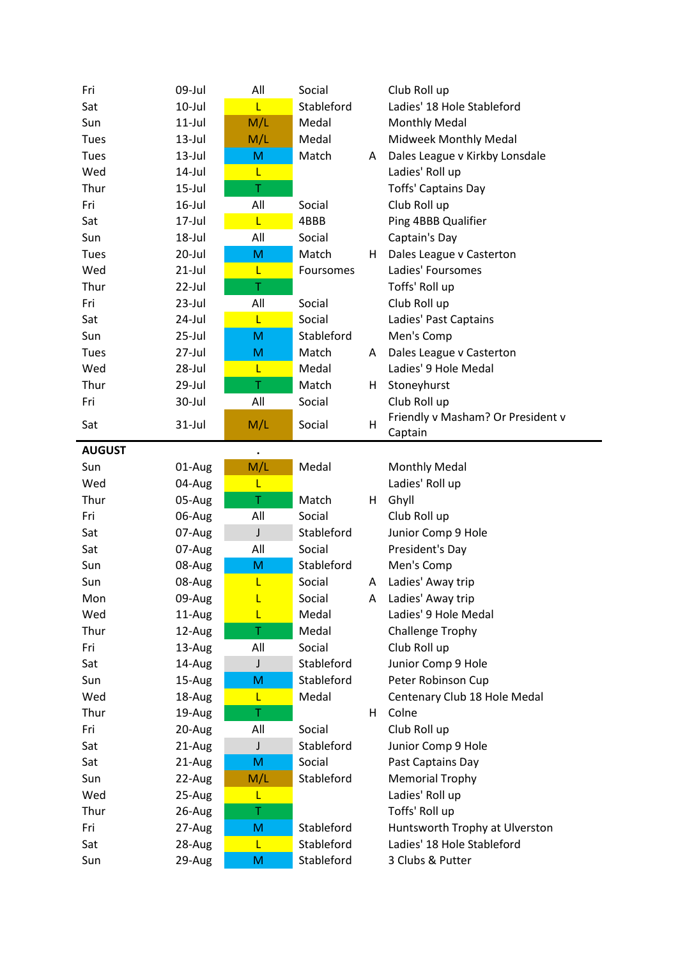| Fri           | 09-Jul    | All         | Social     |    | Club Roll up                      |
|---------------|-----------|-------------|------------|----|-----------------------------------|
| Sat           | $10$ -Jul | L.          | Stableford |    | Ladies' 18 Hole Stableford        |
| Sun           | $11$ -Jul | M/L         | Medal      |    | <b>Monthly Medal</b>              |
| Tues          | $13$ -Jul | M/L         | Medal      |    | Midweek Monthly Medal             |
| Tues          | $13$ -Jul | M           | Match      | A  | Dales League v Kirkby Lonsdale    |
| Wed           | 14-Jul    | L           |            |    | Ladies' Roll up                   |
| Thur          | $15$ -Jul | T           |            |    | <b>Toffs' Captains Day</b>        |
| Fri           | $16$ -Jul | All         | Social     |    | Club Roll up                      |
| Sat           | 17-Jul    | L           | 4BBB       |    | Ping 4BBB Qualifier               |
| Sun           | 18-Jul    | All         | Social     |    | Captain's Day                     |
| Tues          | 20-Jul    | M           | Match      | H. | Dales League v Casterton          |
| Wed           | $21$ -Jul | L           | Foursomes  |    | Ladies' Foursomes                 |
| Thur          | $22$ -Jul | T           |            |    | Toffs' Roll up                    |
| Fri           | $23$ -Jul | All         | Social     |    | Club Roll up                      |
| Sat           | 24-Jul    | L           | Social     |    | Ladies' Past Captains             |
| Sun           | $25$ -Jul | M           | Stableford |    | Men's Comp                        |
| Tues          | $27$ -Jul | M           | Match      | A  | Dales League v Casterton          |
| Wed           | 28-Jul    | L           | Medal      |    | Ladies' 9 Hole Medal              |
| Thur          | 29-Jul    | T           | Match      | H. | Stoneyhurst                       |
| Fri           | 30-Jul    | All         | Social     |    | Club Roll up                      |
|               |           |             |            |    | Friendly v Masham? Or President v |
| Sat           | $31$ -Jul | M/L         | Social     | H  | Captain                           |
| <b>AUGUST</b> |           | $\bullet$   |            |    |                                   |
| Sun           | 01-Aug    | M/L         | Medal      |    | <b>Monthly Medal</b>              |
| Wed           | 04-Aug    | L           |            |    | Ladies' Roll up                   |
| Thur          | 05-Aug    | T           | Match      | H. | Ghyll                             |
| Fri           | 06-Aug    | All         | Social     |    | Club Roll up                      |
| Sat           | 07-Aug    | $\mathsf J$ | Stableford |    | Junior Comp 9 Hole                |
| Sat           | 07-Aug    | All         | Social     |    | President's Day                   |
| Sun           | 08-Aug    | M           | Stableford |    | Men's Comp                        |
| Sun           | 08-Aug    | L           | Social     | A  | Ladies' Away trip                 |
| Mon           | 09-Aug    | L           | Social     | A  | Ladies' Away trip                 |
| Wed           | 11-Aug    | L           | Medal      |    | Ladies' 9 Hole Medal              |
| Thur          | 12-Aug    | T           | Medal      |    | Challenge Trophy                  |
| Fri           | 13-Aug    | All         | Social     |    | Club Roll up                      |
| Sat           | 14-Aug    | J           | Stableford |    | Junior Comp 9 Hole                |
| Sun           | 15-Aug    | M           | Stableford |    | Peter Robinson Cup                |
| Wed           | 18-Aug    | L           | Medal      |    | Centenary Club 18 Hole Medal      |
| Thur          | 19-Aug    | T           |            | H. | Colne                             |
| Fri           | 20-Aug    | All         | Social     |    | Club Roll up                      |
| Sat           | 21-Aug    | J           | Stableford |    | Junior Comp 9 Hole                |
| Sat           | 21-Aug    | M           | Social     |    | Past Captains Day                 |
| Sun           | 22-Aug    | M/L         | Stableford |    | <b>Memorial Trophy</b>            |
| Wed           | 25-Aug    | L           |            |    | Ladies' Roll up                   |
| Thur          | 26-Aug    | T           |            |    | Toffs' Roll up                    |
| Fri           | 27-Aug    | M           | Stableford |    | Huntsworth Trophy at Ulverston    |
| Sat           | 28-Aug    | L           | Stableford |    | Ladies' 18 Hole Stableford        |
| Sun           | 29-Aug    | M           | Stableford |    | 3 Clubs & Putter                  |
|               |           |             |            |    |                                   |